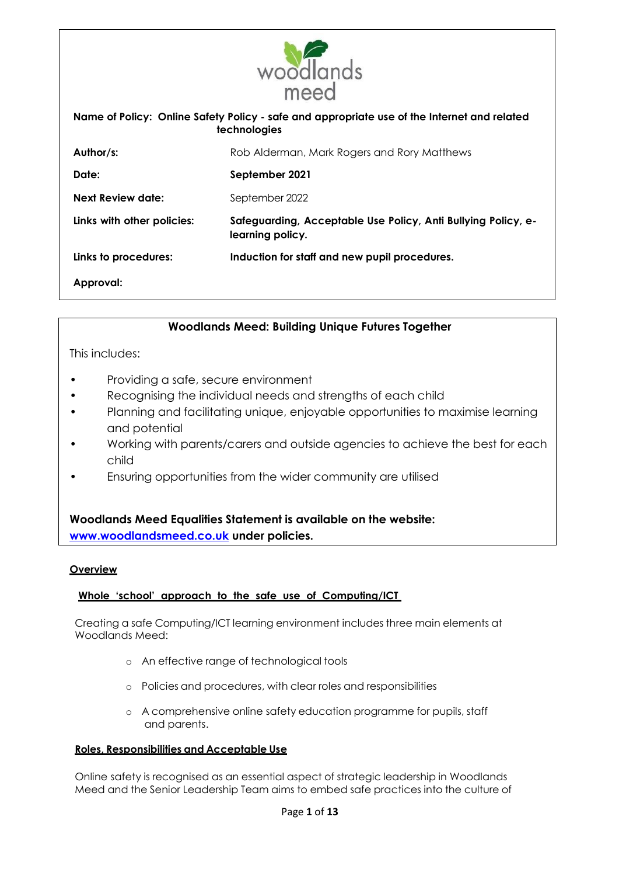

# **Woodlands Meed: Building Unique Futures Together**

This includes:

- Providing a safe, secure environment
- Recognising the individual needs and strengths of each child
- Planning and facilitating unique, enjoyable opportunities to maximise learning and potential
- Working with parents/carers and outside agencies to achieve the best for each child
- Ensuring opportunities from the wider community are utilised

**Woodlands Meed Equalities Statement is available on the website: [www.woodlandsmeed.co.uk](http://www.woodlandsmeed.co.uk/) under policies.**

### **Overview**

## **Whole 'school' approach to the safe use of Computing/ICT**

Creating a safe Computing/ICT learning environment includes three main elements at Woodlands Meed:

- o An effective range of technological tools
- o Policies and procedures, with clear roles and responsibilities
- o A comprehensive online safety education programme for pupils, staff and parents.

### **Roles, Responsibilities and Acceptable Use**

Online safety is recognised as an essential aspect of strategic leadership in Woodlands Meed and the Senior Leadership Team aims to embed safe practices into the culture of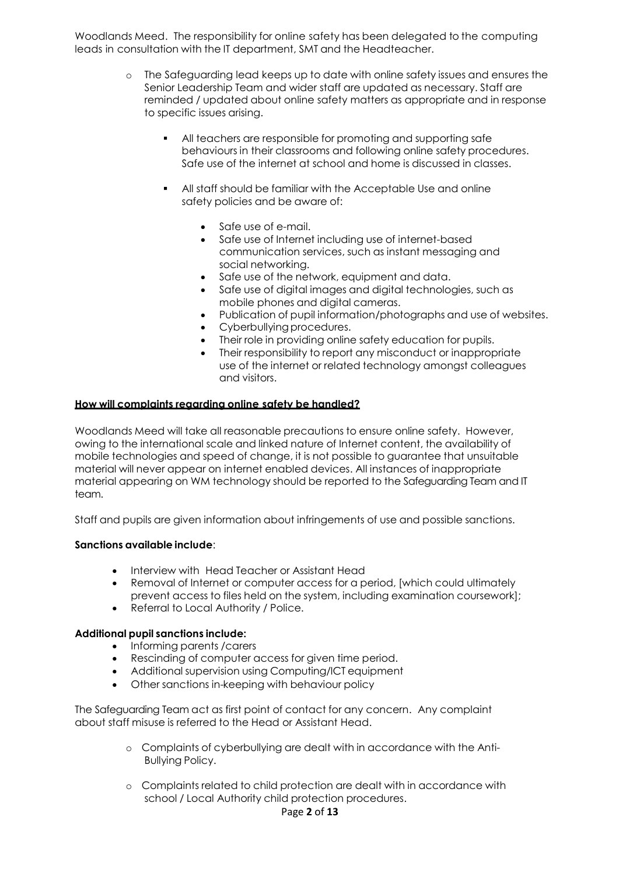Woodlands Meed. The responsibility for online safety has been delegated to the computing leads in consultation with the IT department, SMT and the Headteacher.

- o The Safeguarding lead keeps up to date with online safety issues and ensures the Senior Leadership Team and wider staff are updated as necessary. Staff are reminded / updated about online safety matters as appropriate and in response to specific issues arising.
	- All teachers are responsible for promoting and supporting safe behaviours in their classrooms and following online safety procedures. Safe use of the internet at school and home is discussed in classes.
	- All staff should be familiar with the Acceptable Use and online safety policies and be aware of:
		- Safe use of e-mail.
		- Safe use of Internet including use of [internet-](http://safety.ngfl.gov.uk/schools/)based communication services, such as instant messaging and social networking.
		- Safe use of the network, equipment and data.
		- Safe use of digital images and digital technologies, such as mobile phones and digital cameras.
		- Publication of pupil information/photographs and use of websites.
		- Cyberbullying procedures.
		- Their role in providing online safety education for pupils.
		- Their responsibility to report any misconduct or inappropriate use of the internet or related technology amongst colleagues and visitors.

## **How will complaints regarding online safety be handled?**

Woodlands Meed will take all reasonable precautions to ensure online safety. However, owing to the international scale and linked nature of Internet content, the availability of mobile technologies and speed of change, it is not possible to guarantee that unsuitable material will never appear on internet enabled devices. All instances of inappropriate material appearing on WM technology should be reported to the Safeguarding Team and IT team.

Staff and pupils are given information about infringements of use and possible sanctions.

## **Sanctions available include**:

- Interview with Head Teacher or Assistant Head
- Removal of Internet or computer access for a period, [which could ultimately prevent access to files held on the system, including examination coursework];
- Referral to Local Authority / Police.

### **Additional pupil sanctions include:**

- Informing parents / carers
- Rescinding of computer access for given time period.
- Additional supervision using Computing/ICT equipment
- Other sanctions in-keeping with behaviour policy

The Safeguarding Team act as first point of contact for any concern. Any complaint about staff misuse is referred to the Head or Assistant Head.

- o Complaints of cyberbullying are dealt with in accordance with the Anti-Bullying Policy.
- o Complaints related to child protection are dealt with in accordance with school / Local Authority child protection procedures.

### Page **2** of **13**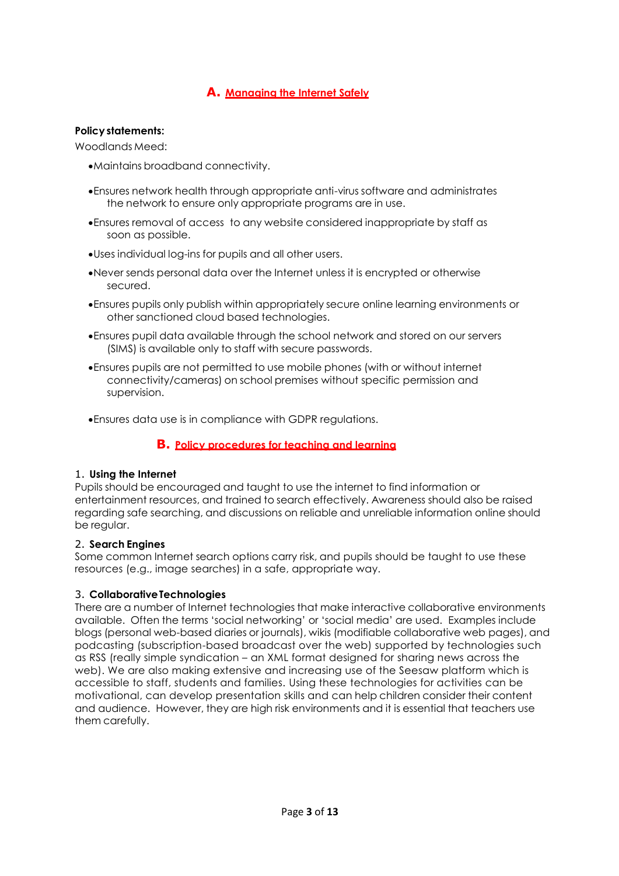# **A. Managing the Internet Safely**

### **Policy statements:**

Woodlands Meed:

- Maintains broadband connectivity.
- Ensures network health through appropriate anti-virus software and administrates the network to ensure only appropriate programs are in use.
- Ensures removal of access to any website considered inappropriate by staff as soon as possible.
- Uses individual log-ins for pupils and all other users.
- Never sends personal data over the Internet unless it is encrypted or otherwise secured.
- Ensures pupils only publish within appropriately secure online learning environments or other sanctioned cloud based technologies.
- Ensures pupil data available through the school network and stored on our servers (SIMS) is available only to staff with secure passwords.
- Ensures pupils are not permitted to use mobile phones (with or without internet connectivity/cameras) on school premises without specific permission and supervision.

Ensures data use is in compliance with GDPR regulations.

## **B. Policy procedures for teaching and learning**

## 1. **Using the Internet**

Pupils should be encouraged and taught to use the internet to find information or entertainment resources, and trained to search effectively. Awareness should also be raised regarding safe searching, and discussions on reliable and unreliable information online should be regular.

## 2. **Search Engines**

Some common Internet search options carry risk, and pupils should be taught to use these resources (e.g., image searches) in a safe, appropriate way.

## 3. **CollaborativeTechnologies**

There are a number of Internet technologies that make interactive collaborative environments available. Often the terms 'social networking' or 'social media' are used. Examples include blogs (personal web-based diaries or journals), wikis (modifiable collaborative web pages), and podcasting (subscription-based broadcast over the web) supported by technologies such as RSS (really simple syndication – an XML format designed for sharing news across the web). We are also making extensive and increasing use of the Seesaw platform which is accessible to staff, students and families. Using these technologies for activities can be motivational, can develop presentation skills and can help children consider their content and audience. However, they are high risk environments and it is essential that teachers use them carefully.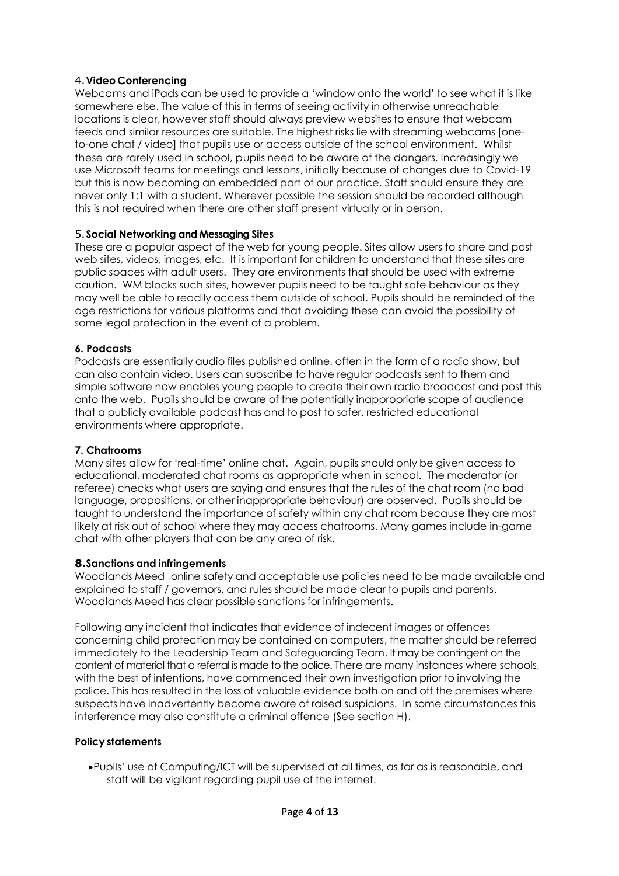## 4.**Video Conferencing**

Webcams and iPads can be used to provide a 'window onto the world' to see what it is like somewhere else. The value of this in terms of seeing activity in otherwise unreachable locations is clear, however staff should always preview websites to ensure that webcam feeds and similar resources are suitable. The highest risks lie with streaming webcams [oneto-one chat / video] that pupils use or access outside of the school environment. Whilst these are rarely used in school, pupils need to be aware of the dangers. Increasingly we use Microsoft teams for meetings and lessons, initially because of changes due to Covid-19 but this is now becoming an embedded part of our practice. Staff should ensure they are never only 1:1 with a student. Wherever possible the session should be recorded although this is not required when there are other staff present virtually or in person.

## 5.**Social Networking and Messaging Sites**

These are a popular aspect of the web for young people. Sites allow users to share and post web sites, videos, images, etc. It is important for children to understand that these sites are public spaces with adult users. They are environments that should be used with extreme caution. WM blocks such sites, however pupils need to be taught safe behaviour as they may well be able to readily access them outside of school. Pupils should be reminded of the age restrictions for various platforms and that avoiding these can avoid the possibility of some legal protection in the event of a problem.

## **6. Podcasts**

Podcasts are essentially audio files published online, often in the form of a radio show, but can also contain video. Users can subscribe to have regular podcasts sent to them and simple software now enables young people to create their own radio broadcast and post this onto the web. Pupils should be aware of the potentially inappropriate scope of audience that a publicly available podcast has and to post to safer, restricted educational environments where appropriate.

## **7. Chatrooms**

Many sites allow for 'real-time' online chat. Again, pupils should only be given access to educational, moderated chat rooms as appropriate when in school. The moderator (or referee) checks what users are saying and ensures that the rules of the chat room (no bad language, propositions, or other inappropriate behaviour) are observed. Pupils should be taught to understand the importance of safety within any chat room because they are most likely at risk out of school where they may access chatrooms. Many games include in-game chat with other players that can be any area of risk.

## **8.Sanctions and infringements**

Woodlands Meed online safety and acceptable use policies need to be made available and explained to staff / governors, and rules should be made clear to pupils and parents. Woodlands Meed has clear possible sanctions for infringements.

Following any incident that indicates that evidence of indecent images or offences concerning child protection may be contained on computers, the matter should be referred immediately to the Leadership Team and Safeguarding Team. It may be contingent on the content of material that a referral is made to the police. There are many instances where schools, with the best of intentions, have commenced their own investigation prior to involving the police. This has resulted in the loss of valuable evidence both on and off the premises where suspects have inadvertently become aware of raised suspicions. In some circumstances this interference may also constitute a criminal offence (See section H).

## **Policy statements**

Pupils' use of Computing/ICT will be supervised at all times, as far as is reasonable, and staff will be vigilant regarding pupil use of the internet.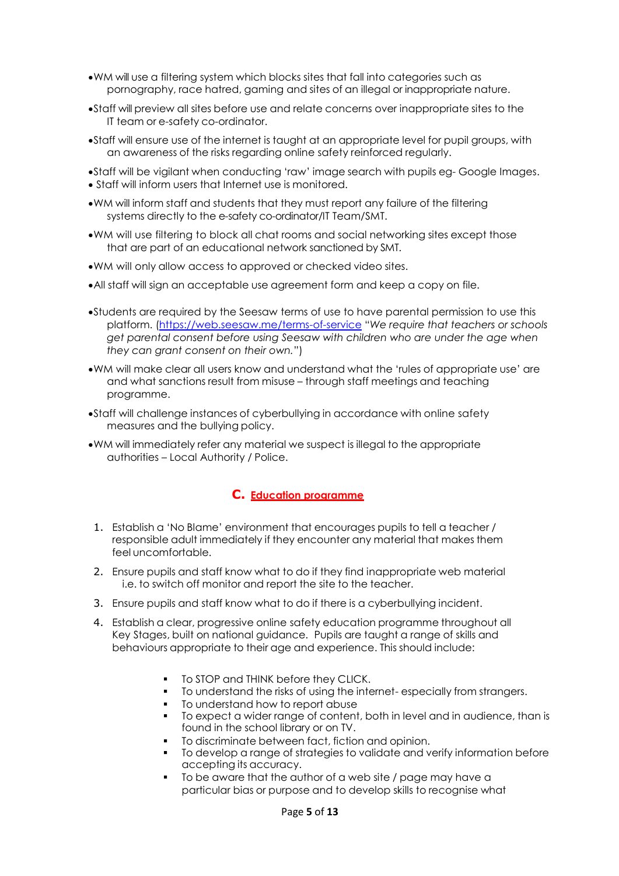- WM will use a filtering system which blocks sites that fall into categories such as pornography, race hatred, gaming and sites of an illegal or inappropriate nature.
- Staff will preview all sites before use and relate concerns over inappropriate sites to the IT team or e-safety co-ordinator.
- Staff will ensure use of the internet is taught at an appropriate level for pupil groups, with an awareness of the risks regarding online safety reinforced regularly.
- Staff will be vigilant when conducting 'raw' image search with pupils eg- Google Images. Staff will inform users that Internet use is monitored.
- WM will inform staff and students that they must report any failure of the filtering systems directly to the e-safety co-ordinator/IT Team/SMT.
- WM will use filtering to block all chat rooms and social networking sites except those that are part of an educational network sanctioned by SMT.
- WM will only allow access to approved or checked video sites.
- All staff will sign an acceptable use agreement form and keep a copy on file.
- Students are required by the Seesaw terms of use to have parental permission to use this platform. [\(https://web.seesaw.me/terms-of-service](https://web.seesaw.me/terms-of-service) "*We require that teachers or schools get parental consent before using Seesaw with children who are under the age when they can grant consent on their own.*")
- WM will make clear all users know and understand what the 'rules of appropriate use' are and what sanctions result from misuse – through staff meetings and teaching programme.
- Staff will challenge instances of cyberbullying in accordance with online safety measures and the bullying policy.
- WM will immediately refer any material we suspect is illegal to the appropriate authorities – Local Authority / Police.

## **C. Education programme**

- 1. Establish a 'No Blame' environment that encourages pupils to tell a teacher / responsible adult immediately if they encounter any material that makes them feel uncomfortable.
- 2. Ensure pupils and staff know what to do if they find inappropriate web material i.e. to switch off monitor and report the site to the teacher.
- 3. Ensure pupils and staff know what to do if there is a cyberbullying incident.
- 4. Establish a clear, progressive online safety education programme throughout all Key Stages, built on national guidance. Pupils are taught a range of skills and behaviours appropriate to their age and experience. This should include:
	- **THINK STOP and THINK before they CLICK.**
	- To understand the risks of using the internet- especially from strangers.
	- To understand how to report abuse
	- To expect a wider range of content, both in level and in audience, than is found in the school library or on TV.
	- To discriminate between fact, fiction and opinion.
	- To develop a range of strategies to validate and verify information before accepting its accuracy.
	- To be aware that the author of a web site / page may have a particular bias or purpose and to develop skills to recognise what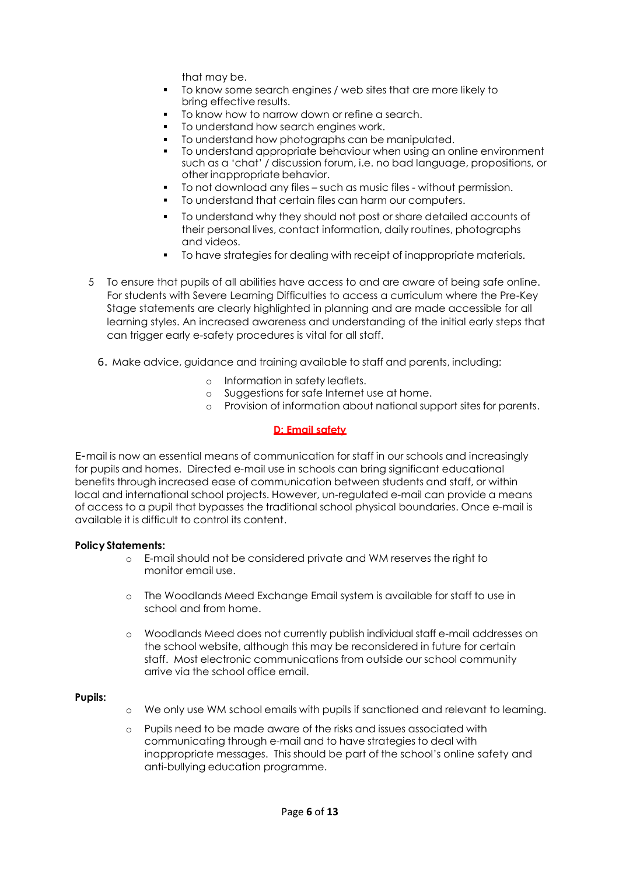that may be.

- To know some search engines / web sites that are more likely to bring effective results.
- To know how to narrow down or refine a search.
- To understand how search engines work.
- To understand how photographs can be manipulated.
- To understand appropriate behaviour when using an online environment such as a 'chat' / discussion forum, i.e. no bad language, propositions, or other inappropriate behavior.
- To not download any files such as music files without permission.
- To understand that certain files can harm our computers.
- To understand why they should not post or share detailed accounts of their personal lives, contact information, daily routines, photographs and videos.
- To have strategies for dealing with receipt of inappropriate materials.
- 5 To ensure that pupils of all abilities have access to and are aware of being safe online. For students with Severe Learning Difficulties to access a curriculum where the Pre-Key Stage statements are clearly highlighted in planning and are made accessible for all learning styles. An increased awareness and understanding of the initial early steps that can trigger early e-safety procedures is vital for all staff.
	- 6. Make advice, guidance and training available to staff and parents, including:
		- o Information in safety leaflets.
		- o Suggestions for safe Internet use at home.
		- o Provision of information about national support sites for parents.

## **D: Email safety**

E-mail is now an essential means of communication for staff in our schools and increasingly for pupils and homes. Directed e-mail use in schools can bring significant educational benefits through increased ease of communication between students and staff, or within local and international school projects. However, un-regulated e-mail can provide a means of access to a pupil that bypasses the traditional school physical boundaries. Once e-mail is available it is difficult to control its content.

### **Policy Statements:**

- o E-mail should not be considered private and WM reserves the right to monitor email use.
- o The Woodlands Meed Exchange Email system is available for staff to use in school and from home.
- o Woodlands Meed does not currently publish individual staff e-mail addresses on the school website, although this may be reconsidered in future for certain staff. Most electronic communications from outside our school community arrive via the school office email.

### **Pupils:**

- o We only use WM school emails with pupils if sanctioned and relevant to learning.
- o Pupils need to be made aware of the risks and issues associated with communicating through e-mail and to have strategies to deal with inappropriate messages. This should be part of the school's online safety and anti-bullying education programme.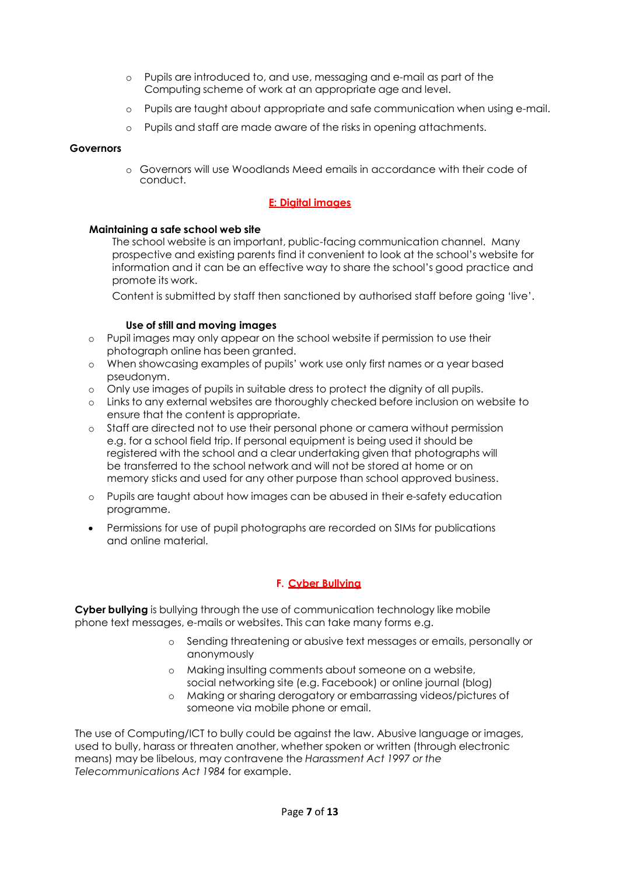- o Pupils are introduced to, and use, messaging and e-mail as part of the Computing scheme of work at an appropriate age and level.
- o Pupils are taught about appropriate and safe communication when using e-mail.
- o Pupils and staff are made aware of the risks in opening attachments.

### **Governors**

o Governors will use Woodlands Meed emails in accordance with their code of conduct.

### **E: Digital images**

### **Maintaining a safe school web site**

The school website is an important, public-facing communication channel. Many prospective and existing parents find it convenient to look at the school's website for information and it can be an effective way to share the school's good practice and promote its work.

Content is submitted by staff then sanctioned by authorised staff before going 'live'.

### **Use of still and moving images**

- o Pupil images may only appear on the school website if permission to use their photograph online has been granted.
- o When showcasing examples of pupils' work use only first names or a year based pseudonym.
- o Only use images of pupils in suitable dress to protect the dignity of all pupils.
- o Links to any external websites are thoroughly checked before inclusion on website to ensure that the content is appropriate.
- o Staff are directed not to use their personal phone or camera without permission e.g. for a school field trip. If personal equipment is being used it should be registered with the school and a clear undertaking given that photographs will be transferred to the school network and will not be stored at home or on memory sticks and used for any other purpose than school approved business.
- o Pupils are taught about how images can be abused in their e-safety education programme.
- Permissions for use of pupil photographs are recorded on SIMs for publications and online material.

## **F. Cyber Bullying**

**Cyber bullying** is bullying through the use of communication technology like mobile phone text messages, e-mails or websites. This can take many forms e.g.

- o Sending threatening or abusive text messages or emails, personally or anonymously
- o Making insulting comments about someone on a website, social networking site (e.g. Facebook) or online journal (blog)
- o Making or sharing derogatory or embarrassing videos/pictures of someone via mobile phone or email.

The use of Computing/ICT to bully could be against the law. Abusive language or images, used to bully, harass or threaten another, whether spoken or written (through electronic means) may be libelous, may contravene the *Harassment Act 1997 or the Telecommunications Act 1984* for example.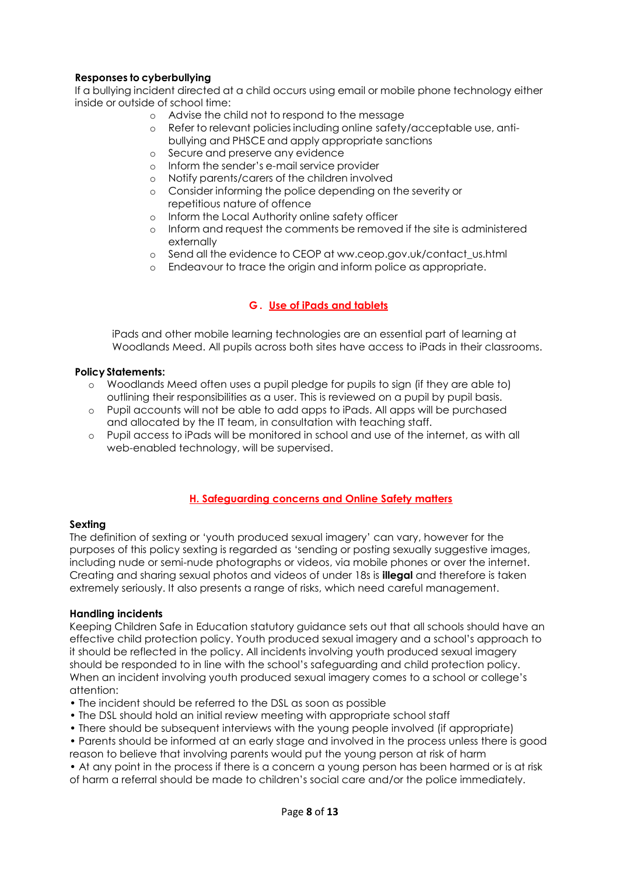## **Responses to cyberbullying**

If a bullying incident directed at a child occurs using email or mobile phone technology either inside or outside of school time:

- o Advise the child not to respond to the message
- o Refer to relevant policies including online safety/acceptable use, antibullying and PHSCE and apply appropriate sanctions
- o Secure and preserve any evidence
- o Inform the sender's e-mail service provider
- o Notify parents/carers of the children involved
- o Consider informing the police depending on the severity or repetitious nature of offence
- o Inform the Local Authority online safety officer
- o Inform and request the comments be removed if the site is administered externally
- o Send all the evidence to CEOP at ww.ceop.gov.uk/contact\_us.html
- o Endeavour to trace the origin and inform police as appropriate.

## **G . Use of iPads and tablets**

iPads and other mobile learning technologies are an essential part of learning at Woodlands Meed. All pupils across both sites have access to iPads in their classrooms.

### **Policy Statements:**

- o Woodlands Meed often uses a pupil pledge for pupils to sign (if they are able to) outlining their responsibilities as a user. This is reviewed on a pupil by pupil basis.
- o Pupil accounts will not be able to add apps to iPads. All apps will be purchased and allocated by the IT team, in consultation with teaching staff.
- o Pupil access to iPads will be monitored in school and use of the internet, as with all web-enabled technology, will be supervised.

## **H. Safeguarding concerns and Online Safety matters**

### **Sexting**

The definition of sexting or 'youth produced sexual imagery' can vary, however for the purposes of this policy sexting is regarded as 'sending or posting sexually suggestive images, including nude or semi-nude photographs or videos, via mobile phones or over the internet. Creating and sharing sexual photos and videos of under 18s is **illegal** and therefore is taken extremely seriously. It also presents a range of risks, which need careful management.

### **Handling incidents**

Keeping Children Safe in Education statutory guidance sets out that all schools should have an effective child protection policy. Youth produced sexual imagery and a school's approach to it should be reflected in the policy. All incidents involving youth produced sexual imagery should be responded to in line with the school's safeguarding and child protection policy. When an incident involving youth produced sexual imagery comes to a school or college's attention:

- The incident should be referred to the DSL as soon as possible
- The DSL should hold an initial review meeting with appropriate school staff
- There should be subsequent interviews with the young people involved (if appropriate)
- Parents should be informed at an early stage and involved in the process unless there is good reason to believe that involving parents would put the young person at risk of harm
- At any point in the process if there is a concern a young person has been harmed or is at risk of harm a referral should be made to children's social care and/or the police immediately.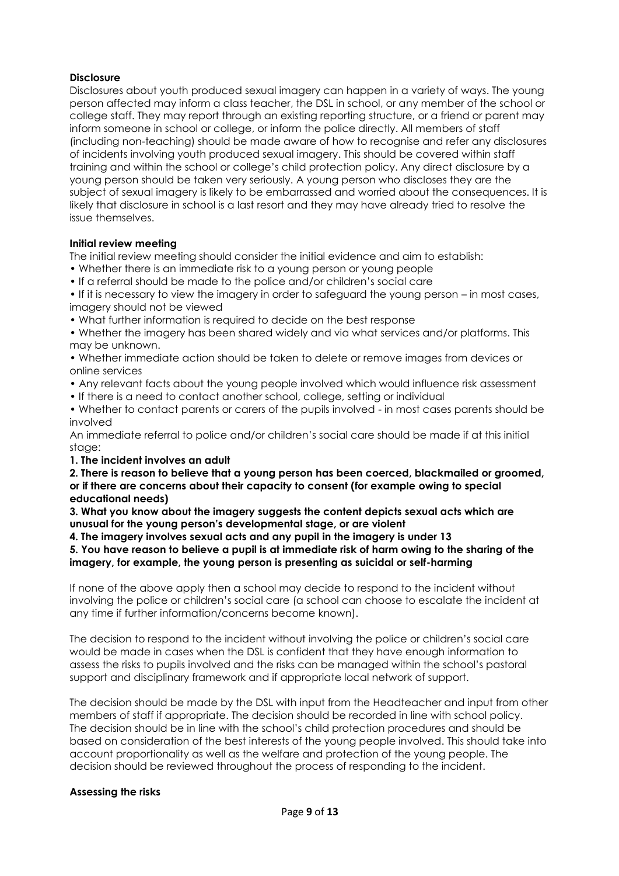### **Disclosure**

Disclosures about youth produced sexual imagery can happen in a variety of ways. The young person affected may inform a class teacher, the DSL in school, or any member of the school or college staff. They may report through an existing reporting structure, or a friend or parent may inform someone in school or college, or inform the police directly. All members of staff (including non-teaching) should be made aware of how to recognise and refer any disclosures of incidents involving youth produced sexual imagery. This should be covered within staff training and within the school or college's child protection policy. Any direct disclosure by a young person should be taken very seriously. A young person who discloses they are the subject of sexual imagery is likely to be embarrassed and worried about the consequences. It is likely that disclosure in school is a last resort and they may have already tried to resolve the issue themselves.

### **Initial review meeting**

The initial review meeting should consider the initial evidence and aim to establish:

- Whether there is an immediate risk to a young person or young people
- If a referral should be made to the police and/or children's social care

• If it is necessary to view the imagery in order to safeguard the young person – in most cases, imagery should not be viewed

• What further information is required to decide on the best response

• Whether the imagery has been shared widely and via what services and/or platforms. This may be unknown.

• Whether immediate action should be taken to delete or remove images from devices or online services

- Any relevant facts about the young people involved which would influence risk assessment
- If there is a need to contact another school, college, setting or individual

• Whether to contact parents or carers of the pupils involved - in most cases parents should be involved

An immediate referral to police and/or children's social care should be made if at this initial stage:

### **1. The incident involves an adult**

**2. There is reason to believe that a young person has been coerced, blackmailed or groomed, or if there are concerns about their capacity to consent (for example owing to special educational needs)** 

**3. What you know about the imagery suggests the content depicts sexual acts which are unusual for the young person's developmental stage, or are violent** 

**4. The imagery involves sexual acts and any pupil in the imagery is under 13**

### **5. You have reason to believe a pupil is at immediate risk of harm owing to the sharing of the imagery, for example, the young person is presenting as suicidal or self-harming**

If none of the above apply then a school may decide to respond to the incident without involving the police or children's social care (a school can choose to escalate the incident at any time if further information/concerns become known).

The decision to respond to the incident without involving the police or children's social care would be made in cases when the DSL is confident that they have enough information to assess the risks to pupils involved and the risks can be managed within the school's pastoral support and disciplinary framework and if appropriate local network of support.

The decision should be made by the DSL with input from the Headteacher and input from other members of staff if appropriate. The decision should be recorded in line with school policy. The decision should be in line with the school's child protection procedures and should be based on consideration of the best interests of the young people involved. This should take into account proportionality as well as the welfare and protection of the young people. The decision should be reviewed throughout the process of responding to the incident.

## **Assessing the risks**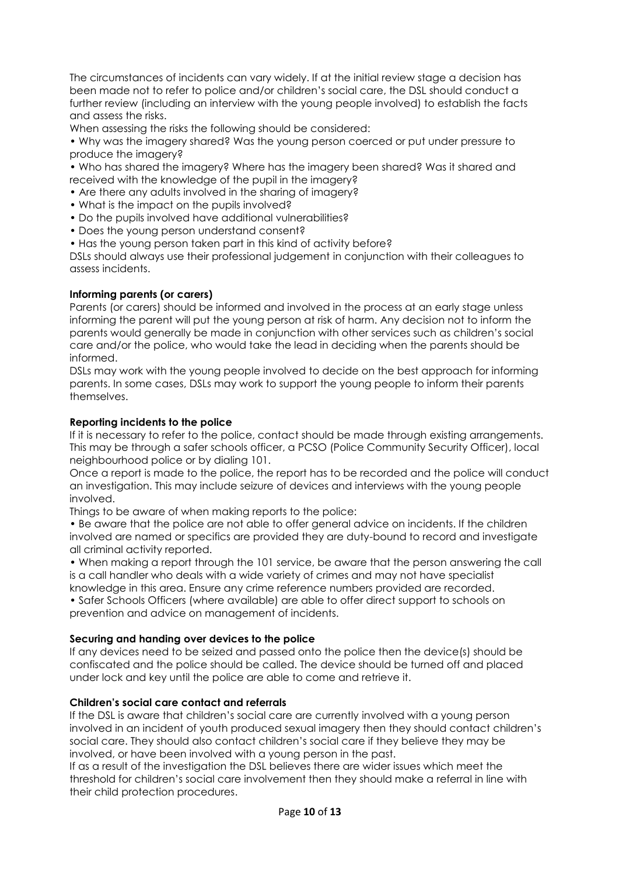The circumstances of incidents can vary widely. If at the initial review stage a decision has been made not to refer to police and/or children's social care, the DSL should conduct a further review (including an interview with the young people involved) to establish the facts and assess the risks.

When assessing the risks the following should be considered:

• Why was the imagery shared? Was the young person coerced or put under pressure to produce the imagery?

• Who has shared the imagery? Where has the imagery been shared? Was it shared and received with the knowledge of the pupil in the imagery?

• Are there any adults involved in the sharing of imagery?

- What is the impact on the pupils involved?
- Do the pupils involved have additional vulnerabilities?
- Does the young person understand consent?
- Has the young person taken part in this kind of activity before?

DSLs should always use their professional judgement in conjunction with their colleagues to assess incidents.

### **Informing parents (or carers)**

Parents (or carers) should be informed and involved in the process at an early stage unless informing the parent will put the young person at risk of harm. Any decision not to inform the parents would generally be made in conjunction with other services such as children's social care and/or the police, who would take the lead in deciding when the parents should be informed.

DSLs may work with the young people involved to decide on the best approach for informing parents. In some cases, DSLs may work to support the young people to inform their parents themselves.

### **Reporting incidents to the police**

If it is necessary to refer to the police, contact should be made through existing arrangements. This may be through a safer schools officer, a PCSO (Police Community Security Officer), local neighbourhood police or by dialing 101.

Once a report is made to the police, the report has to be recorded and the police will conduct an investigation. This may include seizure of devices and interviews with the young people involved.

Things to be aware of when making reports to the police:

• Be aware that the police are not able to offer general advice on incidents. If the children involved are named or specifics are provided they are duty-bound to record and investigate all criminal activity reported.

• When making a report through the 101 service, be aware that the person answering the call is a call handler who deals with a wide variety of crimes and may not have specialist

knowledge in this area. Ensure any crime reference numbers provided are recorded. • Safer Schools Officers (where available) are able to offer direct support to schools on

prevention and advice on management of incidents.

### **Securing and handing over devices to the police**

If any devices need to be seized and passed onto the police then the device(s) should be confiscated and the police should be called. The device should be turned off and placed under lock and key until the police are able to come and retrieve it.

### **Children's social care contact and referrals**

If the DSL is aware that children's social care are currently involved with a young person involved in an incident of youth produced sexual imagery then they should contact children's social care. They should also contact children's social care if they believe they may be involved, or have been involved with a young person in the past.

If as a result of the investigation the DSL believes there are wider issues which meet the threshold for children's social care involvement then they should make a referral in line with their child protection procedures.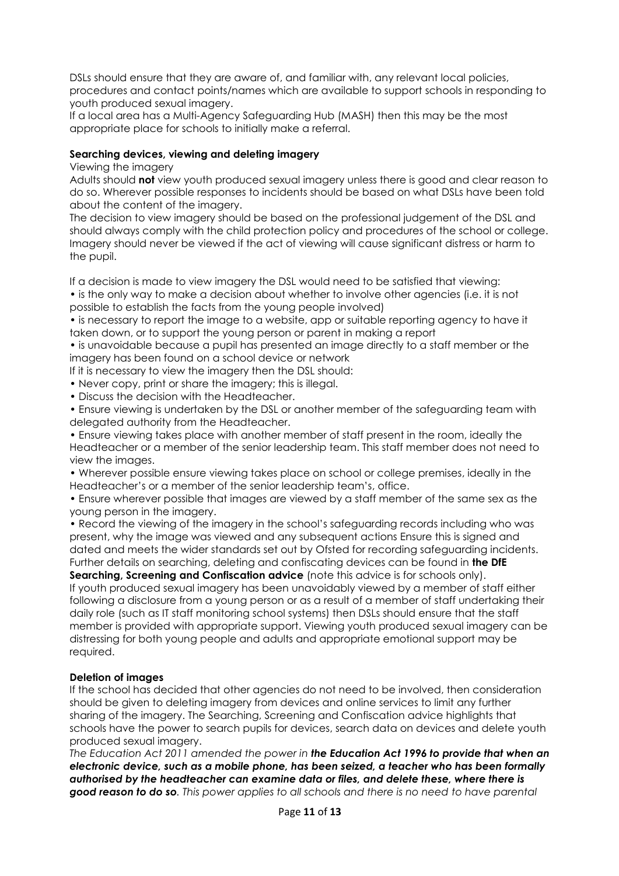DSLs should ensure that they are aware of, and familiar with, any relevant local policies, procedures and contact points/names which are available to support schools in responding to youth produced sexual imagery.

If a local area has a Multi-Agency Safeguarding Hub (MASH) then this may be the most appropriate place for schools to initially make a referral.

### **Searching devices, viewing and deleting imagery**

### Viewing the imagery

Adults should **not** view youth produced sexual imagery unless there is good and clear reason to do so. Wherever possible responses to incidents should be based on what DSLs have been told about the content of the imagery.

The decision to view imagery should be based on the professional judgement of the DSL and should always comply with the child protection policy and procedures of the school or college. Imagery should never be viewed if the act of viewing will cause significant distress or harm to the pupil.

If a decision is made to view imagery the DSL would need to be satisfied that viewing:

• is the only way to make a decision about whether to involve other agencies (i.e. it is not possible to establish the facts from the young people involved)

• is necessary to report the image to a website, app or suitable reporting agency to have it taken down, or to support the young person or parent in making a report

• is unavoidable because a pupil has presented an image directly to a staff member or the imagery has been found on a school device or network

If it is necessary to view the imagery then the DSL should:

- Never copy, print or share the imagery; this is illegal.
- Discuss the decision with the Headteacher.

• Ensure viewing is undertaken by the DSL or another member of the safeguarding team with delegated authority from the Headteacher.

• Ensure viewing takes place with another member of staff present in the room, ideally the Headteacher or a member of the senior leadership team. This staff member does not need to view the images.

• Wherever possible ensure viewing takes place on school or college premises, ideally in the Headteacher's or a member of the senior leadership team's, office.

• Ensure wherever possible that images are viewed by a staff member of the same sex as the young person in the imagery.

• Record the viewing of the imagery in the school's safeguarding records including who was present, why the image was viewed and any subsequent actions Ensure this is signed and dated and meets the wider standards set out by Ofsted for recording safeguarding incidents. Further details on searching, deleting and confiscating devices can be found in **the DfE** 

**Searching, Screening and Confiscation advice** (note this advice is for schools only). If youth produced sexual imagery has been unavoidably viewed by a member of staff either following a disclosure from a young person or as a result of a member of staff undertaking their daily role (such as IT staff monitoring school systems) then DSLs should ensure that the staff member is provided with appropriate support. Viewing youth produced sexual imagery can be distressing for both young people and adults and appropriate emotional support may be required.

### **Deletion of images**

If the school has decided that other agencies do not need to be involved, then consideration should be given to deleting imagery from devices and online services to limit any further sharing of the imagery. The Searching, Screening and Confiscation advice highlights that schools have the power to search pupils for devices, search data on devices and delete youth produced sexual imagery.

*The Education Act 2011 amended the power in the Education Act 1996 to provide that when an electronic device, such as a mobile phone, has been seized, a teacher who has been formally authorised by the headteacher can examine data or files, and delete these, where there is good reason to do so. This power applies to all schools and there is no need to have parental*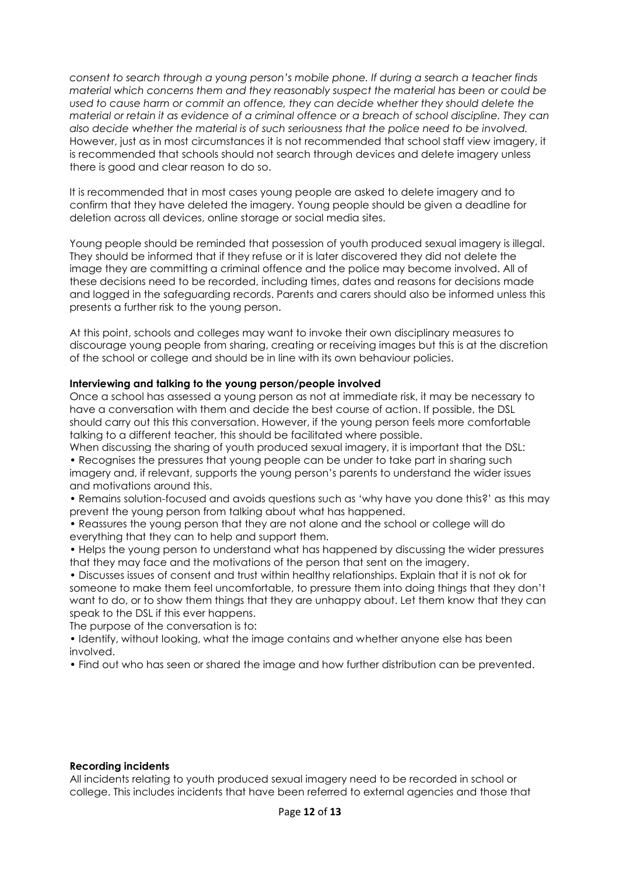*consent to search through a young person's mobile phone. If during a search a teacher finds material which concerns them and they reasonably suspect the material has been or could be used to cause harm or commit an offence, they can decide whether they should delete the material or retain it as evidence of a criminal offence or a breach of school discipline. They can also decide whether the material is of such seriousness that the police need to be involved.* However, just as in most circumstances it is not recommended that school staff view imagery, it is recommended that schools should not search through devices and delete imagery unless there is good and clear reason to do so.

It is recommended that in most cases young people are asked to delete imagery and to confirm that they have deleted the imagery. Young people should be given a deadline for deletion across all devices, online storage or social media sites.

Young people should be reminded that possession of youth produced sexual imagery is illegal. They should be informed that if they refuse or it is later discovered they did not delete the image they are committing a criminal offence and the police may become involved. All of these decisions need to be recorded, including times, dates and reasons for decisions made and logged in the safeguarding records. Parents and carers should also be informed unless this presents a further risk to the young person.

At this point, schools and colleges may want to invoke their own disciplinary measures to discourage young people from sharing, creating or receiving images but this is at the discretion of the school or college and should be in line with its own behaviour policies.

### **Interviewing and talking to the young person/people involved**

Once a school has assessed a young person as not at immediate risk, it may be necessary to have a conversation with them and decide the best course of action. If possible, the DSL should carry out this this conversation. However, if the young person feels more comfortable talking to a different teacher, this should be facilitated where possible.

When discussing the sharing of youth produced sexual imagery, it is important that the DSL:

• Recognises the pressures that young people can be under to take part in sharing such imagery and, if relevant, supports the young person's parents to understand the wider issues and motivations around this.

• Remains solution-focused and avoids questions such as 'why have you done this?' as this may prevent the young person from talking about what has happened.

• Reassures the young person that they are not alone and the school or college will do everything that they can to help and support them.

• Helps the young person to understand what has happened by discussing the wider pressures that they may face and the motivations of the person that sent on the imagery.

• Discusses issues of consent and trust within healthy relationships. Explain that it is not ok for someone to make them feel uncomfortable, to pressure them into doing things that they don't want to do, or to show them things that they are unhappy about. Let them know that they can speak to the DSL if this ever happens.

The purpose of the conversation is to:

• Identify, without looking, what the image contains and whether anyone else has been involved.

• Find out who has seen or shared the image and how further distribution can be prevented.

### **Recording incidents**

All incidents relating to youth produced sexual imagery need to be recorded in school or college. This includes incidents that have been referred to external agencies and those that